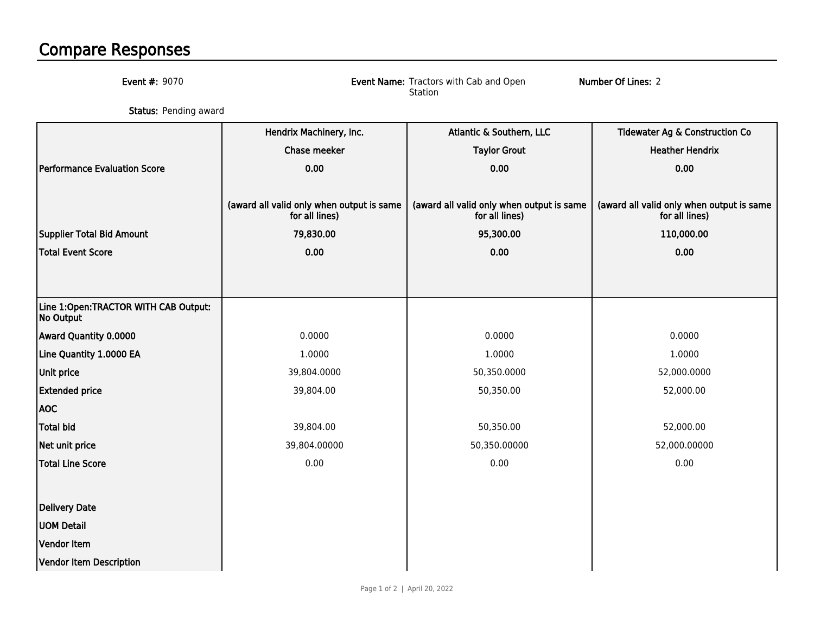## Compare Responses

| <b>Event #: 9070</b>                              | Number Of Lines: 2<br>Event Name: Tractors with Cab and Open<br>Station |                                                             |                                                             |  |
|---------------------------------------------------|-------------------------------------------------------------------------|-------------------------------------------------------------|-------------------------------------------------------------|--|
| Status: Pending award                             |                                                                         |                                                             |                                                             |  |
|                                                   | Hendrix Machinery, Inc.                                                 | Atlantic & Southern, LLC                                    | Tidewater Ag & Construction Co                              |  |
|                                                   | Chase meeker                                                            | <b>Taylor Grout</b>                                         | <b>Heather Hendrix</b>                                      |  |
| Performance Evaluation Score                      | 0.00                                                                    | 0.00                                                        | 0.00                                                        |  |
|                                                   |                                                                         |                                                             |                                                             |  |
|                                                   | (award all valid only when output is same<br>for all lines)             | (award all valid only when output is same<br>for all lines) | (award all valid only when output is same<br>for all lines) |  |
| Supplier Total Bid Amount                         | 79,830.00                                                               | 95,300.00                                                   | 110,000.00                                                  |  |
| Total Event Score                                 | 0.00                                                                    | 0.00                                                        | 0.00                                                        |  |
|                                                   |                                                                         |                                                             |                                                             |  |
|                                                   |                                                                         |                                                             |                                                             |  |
| Line 1:Open:TRACTOR WITH CAB Output:<br>No Output |                                                                         |                                                             |                                                             |  |
| Award Quantity 0.0000                             | 0.0000                                                                  | 0.0000                                                      | 0.0000                                                      |  |
| Line Quantity 1.0000 EA                           | 1.0000                                                                  | 1.0000                                                      | 1.0000                                                      |  |
| <b>Unit price</b>                                 | 39,804.0000                                                             | 50,350.0000                                                 | 52,000.0000                                                 |  |
| <b>Extended price</b>                             | 39,804.00                                                               | 50,350.00                                                   | 52,000.00                                                   |  |
| <b>AOC</b>                                        |                                                                         |                                                             |                                                             |  |
| Total bid                                         | 39,804.00                                                               | 50,350.00                                                   | 52,000.00                                                   |  |
| Net unit price                                    | 39,804.00000                                                            | 50,350.00000                                                | 52,000.00000                                                |  |
| Total Line Score                                  | 0.00                                                                    | 0.00                                                        | 0.00                                                        |  |
|                                                   |                                                                         |                                                             |                                                             |  |
| Delivery Date                                     |                                                                         |                                                             |                                                             |  |
| <b>UOM Detail</b>                                 |                                                                         |                                                             |                                                             |  |
| Vendor Item                                       |                                                                         |                                                             |                                                             |  |
| Vendor Item Description                           |                                                                         |                                                             |                                                             |  |